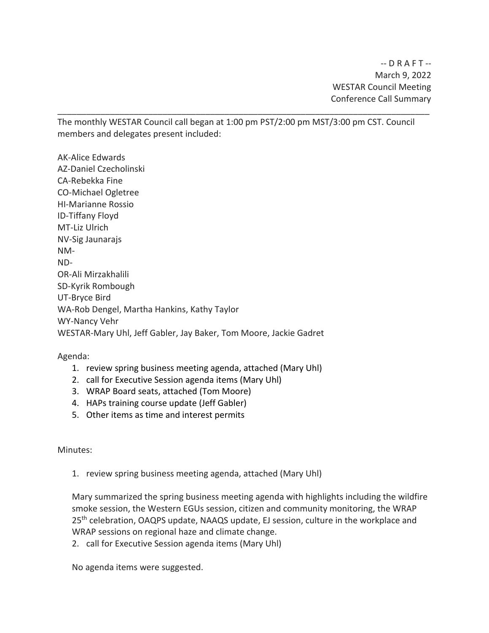The monthly WESTAR Council call began at 1:00 pm PST/2:00 pm MST/3:00 pm CST. Council members and delegates present included:

\_\_\_\_\_\_\_\_\_\_\_\_\_\_\_\_\_\_\_\_\_\_\_\_\_\_\_\_\_\_\_\_\_\_\_\_\_\_\_\_\_\_\_\_\_\_\_\_\_\_\_\_\_\_\_\_\_\_\_\_\_\_\_\_\_\_\_\_\_\_\_\_\_\_\_\_\_\_

AK-Alice Edwards AZ-Daniel Czecholinski CA-Rebekka Fine CO-Michael Ogletree HI-Marianne Rossio ID-Tiffany Floyd MT-Liz Ulrich NV-Sig Jaunarajs NM-ND-OR-Ali Mirzakhalili SD-Kyrik Rombough UT-Bryce Bird WA-Rob Dengel, Martha Hankins, Kathy Taylor WY-Nancy Vehr WESTAR-Mary Uhl, Jeff Gabler, Jay Baker, Tom Moore, Jackie Gadret

Agenda:

- 1. review spring business meeting agenda, attached (Mary Uhl)
- 2. call for Executive Session agenda items (Mary Uhl)
- 3. WRAP Board seats, attached (Tom Moore)
- 4. HAPs training course update (Jeff Gabler)
- 5. Other items as time and interest permits

Minutes:

1. review spring business meeting agenda, attached (Mary Uhl)

Mary summarized the spring business meeting agenda with highlights including the wildfire smoke session, the Western EGUs session, citizen and community monitoring, the WRAP 25<sup>th</sup> celebration, OAQPS update, NAAQS update, EJ session, culture in the workplace and WRAP sessions on regional haze and climate change.

2. call for Executive Session agenda items (Mary Uhl)

No agenda items were suggested.